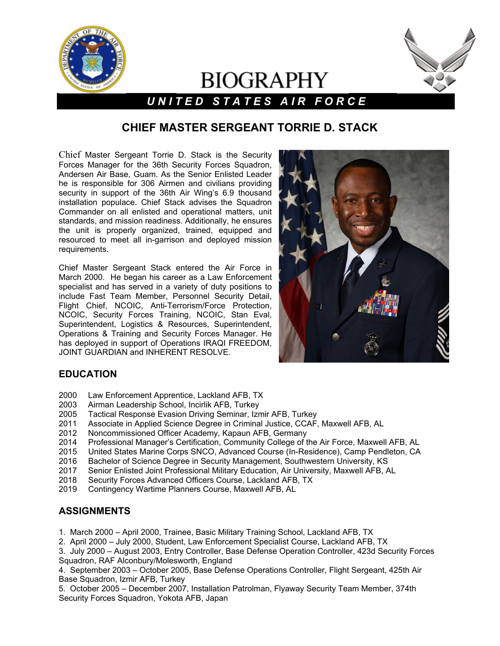

## **BIOGRAPHY** l *U N I T E D S T A T E S A I R F O R C E*



# **CHIEF MASTER SERGEANT TORRIE D. STACK**

Chief Master Sergeant Torrie D. Stack is the Security Forces Manager for the 36th Security Forces Squadron, Andersen Air Base, Guam. As the Senior Enlisted Leader he is responsible for 306 Airmen and civilians providing security in support of the 36th Air Wing's 6.9 thousand installation populace. Chief Stack advises the Squadron Commander on all enlisted and operational matters, unit standards, and mission readiness. Additionally, he ensures the unit is properly organized, trained, equipped and resourced to meet all in-garrison and deployed mission requirements.

Chief Master Sergeant Stack entered the Air Force in March 2000. He began his career as a Law Enforcement specialist and has served in a variety of duty positions to include Fast Team Member, Personnel Security Detail, Flight Chief, NCOIC, Anti-Terrorism/Force Protection, NCOIC, Security Forces Training, NCOIC, Stan Eval, Superintendent, Logistics & Resources, Superintendent, Operations & Training and Security Forces Manager. He has deployed in support of Operations IRAQI FREEDOM, JOINT GUARDIAN and INHERENT RESOLVE.



#### **EDUCATION**

- 2000 Law Enforcement Apprentice, Lackland AFB, TX
- 2003 Airman Leadership School, Incirlik AFB, Turkey
- Tactical Response Evasion Driving Seminar, Izmir AFB, Turkey
- 2011 Associate in Applied Science Degree in Criminal Justice, CCAF, Maxwell AFB, AL
- 2012 Noncommissioned Officer Academy, Kapaun AFB, Germany
- 2014 Professional Manager's Certification, Community College of the Air Force, Maxwell AFB, AL
- 2015 United States Marine Corps SNCO, Advanced Course (In-Residence), Camp Pendleton, CA
- 
- 2016 Bachelor of Science Degree in Security Management, Southwestern University, KS 2017 Senior Enlisted Joint Professional Military Education, Air University, Maxwell AFB, AL
- 2018 Security Forces Advanced Officers Course, Lackland AFB, TX
- 2019 Contingency Wartime Planners Course, Maxwell AFB, AL

#### **ASSIGNMENTS**

- 1. March 2000 April 2000, Trainee, Basic Military Training School, Lackland AFB, TX
- 2. April 2000 July 2000, Student, Law Enforcement Specialist Course, Lackland AFB, TX
- 3. July 2000 August 2003, Entry Controller, Base Defense Operation Controller, 423d Security Forces Squadron, RAF Alconbury/Molesworth, England
- 4. September 2003 October 2005, Base Defense Operations Controller, Flight Sergeant, 425th Air Base Squadron, Izmir AFB, Turkey
- 5. October 2005 December 2007, Installation Patrolman, Flyaway Security Team Member, 374th Security Forces Squadron, Yokota AFB, Japan